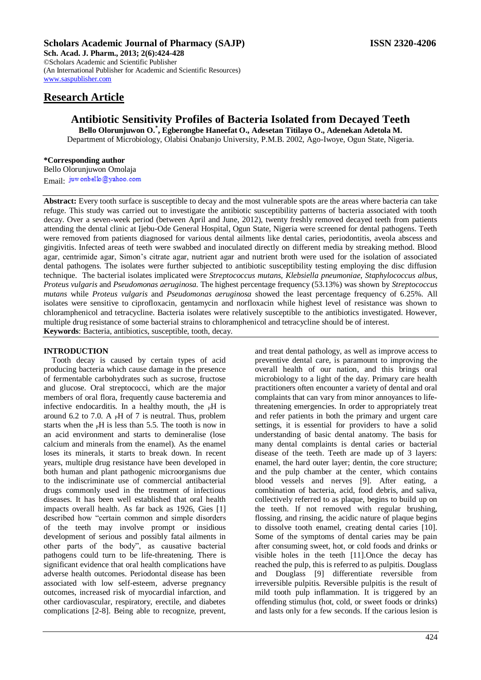## **Scholars Academic Journal of Pharmacy (SAJP) ISSN 2320-4206**

**Sch. Acad. J. Pharm., 2013; 2(6):424-428** ©Scholars Academic and Scientific Publisher (An International Publisher for Academic and Scientific Resources) [www.saspublisher.com](http://www.saspublisher.com/) 

# **Research Article**

# **Antibiotic Sensitivity Profiles of Bacteria Isolated from Decayed Teeth**

**Bello Olorunjuwon O.\* , Egberongbe Haneefat O., Adesetan Titilayo O., Adenekan Adetola M.** Department of Microbiology, Olabisi Onabanjo University, P.M.B. 2002, Ago-Iwoye, Ogun State, Nigeria.

#### **\*Corresponding author**

Bello Olorunjuwon Omolaja Email: juw onbello@yahoo.com

**Abstract:** Every tooth surface is susceptible to decay and the most vulnerable spots are the areas where bacteria can take refuge. This study was carried out to investigate the antibiotic susceptibility patterns of bacteria associated with tooth decay. Over a seven-week period (between April and June, 2012), twenty freshly removed decayed teeth from patients attending the dental clinic at Ijebu-Ode General Hospital, Ogun State, Nigeria were screened for dental pathogens. Teeth were removed from patients diagnosed for various dental ailments like dental caries, periodontitis, aveola abscess and gingivitis. Infected areas of teeth were swabbed and inoculated directly on different media by streaking method. Blood agar, centrimide agar, Simon's citrate agar, nutrient agar and nutrient broth were used for the isolation of associated dental pathogens. The isolates were further subjected to antibiotic susceptibility testing employing the disc diffusion technique. The bacterial isolates implicated were *Streptococcus mutans, Klebsiella pneumoniae*, *Staphylococcus albus, Proteus vulgaris* and *Pseudomonas aeruginosa.* The highest percentage frequency (53.13%) was shown by *Streptococcus mutans* while *Proteus vulgaris* and *Pseudomonas aeruginosa* showed the least percentage frequency of 6.25%. All isolates were sensitive to ciprofloxacin, gentamycin and norfloxacin while highest level of resistance was shown to chloramphenicol and tetracycline. Bacteria isolates were relatively susceptible to the antibiotics investigated. However, multiple drug resistance of some bacterial strains to chloramphenicol and tetracycline should be of interest.

**Keywords**: Bacteria, antibiotics, susceptible, tooth, decay.

### **INTRODUCTION**

Tooth decay is caused by certain types of acid producing bacteria which cause damage in the presence of fermentable carbohydrates such as sucrose, fructose and glucose. Oral streptococci, which are the major members of oral flora, frequently cause bacteremia and infective endocarditis. In a healthy mouth, the  $\,_{\rm P}$ H is around 6.2 to 7.0. A  $_{\rm P}$ H of 7 is neutral. Thus, problem starts when the  $pH$  is less than 5.5. The tooth is now in an acid environment and starts to demineralise (lose calcium and minerals from the enamel). As the enamel loses its minerals, it starts to break down. In recent years, multiple drug resistance have been developed in both human and plant pathogenic microorganisms due to the indiscriminate use of commercial antibacterial drugs commonly used in the treatment of infectious diseases. It has been well established that oral health impacts overall health. As far back as 1926, Gies [1] described how "certain common and simple disorders of the teeth may involve prompt or insidious development of serious and possibly fatal ailments in other parts of the body", as causative bacterial pathogens could turn to be life-threatening. There is significant evidence that oral health complications have adverse health outcomes. Periodontal disease has been associated with low self-esteem, adverse pregnancy outcomes, increased risk of myocardial infarction, and other cardiovascular, respiratory, erectile, and diabetes complications [2-8]. Being able to recognize, prevent, and treat dental pathology, as well as improve access to preventive dental care, is paramount to improving the overall health of our nation, and this brings oral microbiology to a light of the day. Primary care health practitioners often encounter a variety of dental and oral complaints that can vary from minor annoyances to lifethreatening emergencies. In order to appropriately treat and refer patients in both the primary and urgent care settings, it is essential for providers to have a solid understanding of basic dental anatomy. The basis for many dental complaints is dental caries or bacterial disease of the teeth. Teeth are made up of 3 layers: enamel, the hard outer layer; dentin, the core structure; and the pulp chamber at the center, which contains blood vessels and nerves [9]. After eating, a combination of bacteria, acid, food debris, and saliva, collectively referred to as plaque, begins to build up on the teeth. If not removed with regular brushing, flossing, and rinsing, the acidic nature of plaque begins to dissolve tooth enamel, creating dental caries [10]. Some of the symptoms of dental caries may be pain after consuming sweet, hot, or cold foods and drinks or visible holes in the teeth [11].Once the decay has reached the pulp, this is referred to as pulpitis. Douglass and Douglass [9] differentiate reversible from irreversible pulpitis. Reversible pulpitis is the result of mild tooth pulp inflammation. It is triggered by an offending stimulus (hot, cold, or sweet foods or drinks) and lasts only for a few seconds. If the carious lesion is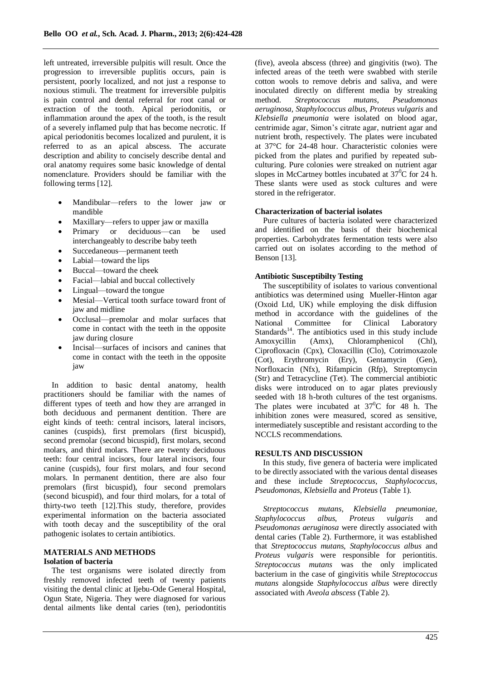left untreated, irreversible pulpitis will result. Once the progression to irreversible puplitis occurs, pain is persistent, poorly localized, and not just a response to noxious stimuli. The treatment for irreversible pulpitis is pain control and dental referral for root canal or extraction of the tooth. Apical periodonitis, or inflammation around the apex of the tooth, is the result of a severely inflamed pulp that has become necrotic. If apical periodonitis becomes localized and purulent, it is referred to as an apical abscess. The accurate description and ability to concisely describe dental and oral anatomy requires some basic knowledge of dental nomenclature. Providers should be familiar with the following terms [12].

- Mandibular—refers to the lower jaw or mandible
- Maxillary—refers to upper jaw or maxilla
- Primary or deciduous—can be used interchangeably to describe baby teeth
- Succedaneous—permanent teeth
- Labial—toward the lips
- Buccal—toward the cheek
- Facial—labial and buccal collectively
- Lingual—toward the tongue
- Mesial—Vertical tooth surface toward front of jaw and midline
- Occlusal—premolar and molar surfaces that come in contact with the teeth in the opposite jaw during closure
- Incisal—surfaces of incisors and canines that come in contact with the teeth in the opposite jaw

In addition to basic dental anatomy, health practitioners should be familiar with the names of different types of teeth and how they are arranged in both deciduous and permanent dentition. There are eight kinds of teeth: central incisors, lateral incisors, canines (cuspids), first premolars (first bicuspid), second premolar (second bicuspid), first molars, second molars, and third molars. There are twenty deciduous teeth: four central incisors, four lateral incisors, four canine (cuspids), four first molars, and four second molars. In permanent dentition, there are also four premolars (first bicuspid), four second premolars (second bicuspid), and four third molars, for a total of thirty-two teeth [12].This study, therefore, provides experimental information on the bacteria associated with tooth decay and the susceptibility of the oral pathogenic isolates to certain antibiotics.

### **MATERIALS AND METHODS Isolation of bacteria**

The test organisms were isolated directly from freshly removed infected teeth of twenty patients visiting the dental clinic at Ijebu-Ode General Hospital, Ogun State, Nigeria. They were diagnosed for various dental ailments like dental caries (ten), periodontitis (five), aveola abscess (three) and gingivitis (two). The infected areas of the teeth were swabbed with sterile cotton wools to remove debris and saliva, and were inoculated directly on different media by streaking method. *Streptococcus mutans*, *Pseudomonas aeruginosa, Staphylococcus albus, Proteus vulgaris* and *Klebsiella pneumonia* were isolated on blood agar, centrimide agar, Simon's citrate agar, nutrient agar and nutrient broth, respectively. The plates were incubated at 37°C for 24-48 hour. Characteristic colonies were picked from the plates and purified by repeated subculturing. Pure colonies were streaked on nutrient agar slopes in McCartney bottles incubated at  $37^{\circ}$ C for 24 h. These slants were used as stock cultures and were stored in the refrigerator.

#### **Characterization of bacterial isolates**

Pure cultures of bacteria isolated were characterized and identified on the basis of their biochemical properties. Carbohydrates fermentation tests were also carried out on isolates according to the method of Benson [13].

### **Antibiotic Susceptibilty Testing**

The susceptibility of isolates to various conventional antibiotics was determined using Mueller-Hinton agar (Oxoid Ltd, UK) while employing the disk diffusion method in accordance with the guidelines of the National Committee for Clinical Laboratory Standards<sup>14</sup>. The antibiotics used in this study include Amoxycillin (Amx), Chloramphenicol (Chl), Ciprofloxacin (Cpx), Cloxacillin (Clo), Cotrimoxazole (Cot), Erythromycin (Ery), Gentamycin (Gen), Norfloxacin (Nfx), Rifampicin (Rfp), Streptomycin (Str) and Tetracycline (Tet). The commercial antibiotic disks were introduced on to agar plates previously seeded with 18 h-broth cultures of the test organisms. The plates were incubated at  $37^{\circ}$ C for 48 h. The inhibition zones were measured, scored as sensitive, intermediately susceptible and resistant according to the NCCLS recommendations.

#### **RESULTS AND DISCUSSION**

In this study, five genera of bacteria were implicated to be directly associated with the various dental diseases and these include *Streptococcus, Staphylococcus, Pseudomonas, Klebsiella* and *Proteus* (Table 1).

*Streptococcus mutans, Klebsiella pneumoniae, Staphylococcus albus, Proteus vulgaris* and *Pseudomonas aeruginosa* were directly associated with dental caries (Table 2). Furthermore, it was established that *Streptococcus mutans, Staphylococcus albus* and *Proteus vulgaris* were responsible for periontitis. *Streptococcus mutans* was the only implicated bacterium in the case of gingivitis while *Streptococcus mutans* alongside *Staphylococcus albus* were directly associated with *Aveola abscess* (Table 2).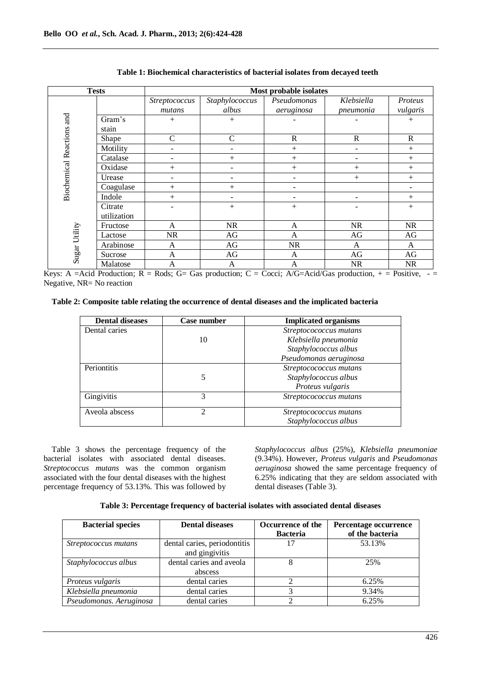| <b>Tests</b>                                      |             | Most probable isolates |                |              |              |             |  |  |
|---------------------------------------------------|-------------|------------------------|----------------|--------------|--------------|-------------|--|--|
|                                                   |             | Streptococcus          | Staphylococcus | Pseudomonas  | Klebsiella   | Proteus     |  |  |
|                                                   |             | mutans                 | albus          | aeruginosa   | pneumonia    | vulgaris    |  |  |
|                                                   | Gram's      | $+$                    | $^{+}$         |              |              | $+$         |  |  |
|                                                   | stain       |                        |                |              |              |             |  |  |
| <b>Biochemical Reactions and</b><br>Sugar Utility | Shape       | $\mathcal{C}$          | C              | $\mathbb{R}$ | $\mathbb{R}$ | $\mathbf R$ |  |  |
|                                                   | Motility    | ۰                      |                | $+$          |              | $+$         |  |  |
|                                                   | Catalase    | -                      | $^{+}$         | $+$          |              | $+$         |  |  |
|                                                   | Oxidase     |                        |                | $^{+}$       | $+$          | $^{+}$      |  |  |
|                                                   | Urease      | ۰                      |                |              | $+$          | $^{+}$      |  |  |
|                                                   | Coagulase   |                        | $+$            |              |              |             |  |  |
|                                                   | Indole      | $^{+}$                 |                |              |              | $^{+}$      |  |  |
|                                                   | Citrate     |                        | $+$            | $+$          |              | $^{+}$      |  |  |
|                                                   | utilization |                        |                |              |              |             |  |  |
|                                                   | Fructose    | A                      | NR             | A            | <b>NR</b>    | <b>NR</b>   |  |  |
|                                                   | Lactose     | <b>NR</b>              | AG             | $\mathbf{A}$ | AG           | AG          |  |  |
|                                                   | Arabinose   | A                      | AG             | <b>NR</b>    | A            | A           |  |  |
|                                                   | Sucrose     | A                      | AG             | AG<br>A      |              | AG          |  |  |
|                                                   | Malatose    | A                      | A              | A            | <b>NR</b>    | <b>NR</b>   |  |  |

**Table 1: Biochemical characteristics of bacterial isolates from decayed teeth**

Keys: A =Acid Production; R = Rods; G= Gas production; C = Cocci; A/G=Acid/Gas production,  $+$  = Positive,  $-$ Negative, NR= No reaction

## **Table 2: Composite table relating the occurrence of dental diseases and the implicated bacteria**

| <b>Dental diseases</b> | Case number | <b>Implicated organisms</b> |  |  |  |
|------------------------|-------------|-----------------------------|--|--|--|
| Dental caries          |             | Streptocococcus mutans      |  |  |  |
|                        | 10          | Klebsiella pneumonia        |  |  |  |
|                        |             | Staphylococcus albus        |  |  |  |
|                        |             | Pseudomonas aeruginosa      |  |  |  |
| Periontitis            |             | Streptocococcus mutans      |  |  |  |
|                        | 5           | Staphylococcus albus        |  |  |  |
|                        |             | Proteus vulgaris            |  |  |  |
| Gingivitis             | 3           | Streptocococcus mutans      |  |  |  |
| Aveola abscess         | າ           | Streptocococcus mutans      |  |  |  |
|                        |             | Staphylococcus albus        |  |  |  |

Table 3 shows the percentage frequency of the bacterial isolates with associated dental diseases. *Streptococcus mutans* was the common organism associated with the four dental diseases with the highest percentage frequency of 53.13%. This was followed by

*Staphylococcus albus* (25%), *Klebsiella pneumoniae* (9.34%). However, *Proteus vulgaris* and *Pseudomonas aeruginosa* showed the same percentage frequency of 6.25% indicating that they are seldom associated with dental diseases (Table 3).

| <b>Bacterial species</b> | <b>Dental diseases</b>                         | Occurrence of the<br><b>Bacteria</b> | Percentage occurrence<br>of the bacteria |  |  |
|--------------------------|------------------------------------------------|--------------------------------------|------------------------------------------|--|--|
| Streptococcus mutans     | dental caries, periodontitis<br>and gingivitis | 17                                   | 53.13%                                   |  |  |
| Staphylococcus albus     | dental caries and aveola<br>abscess            |                                      | 25%                                      |  |  |
| Proteus vulgaris         | dental caries                                  |                                      | 6.25%                                    |  |  |
| Klebsiella pneumonia     | dental caries                                  |                                      | 9.34%                                    |  |  |
| Pseudomonas. Aeruginosa  | dental caries                                  |                                      | 6.25%                                    |  |  |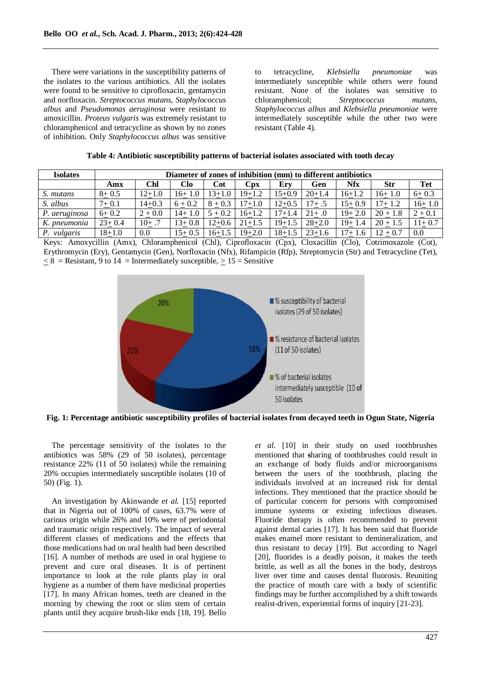There were variations in the susceptibility patterns of the isolates to the various antibiotics. All the isolates were found to be sensitive to ciprofloxacin, gentamycin and norfloxacin. *Streptococcus mutans, Staphylococcus albus* and *Pseudomonas aeruginosa* were resistant to amoxicillin. *Proteus vulgaris* was extremely resistant to chloramphenicol and tetracycline as shown by no zones of inhibition. Only *Staphylococcus albus* was sensitive to tetracycline, *Klebsiella pneumoniae* was intermediately susceptible while others were found resistant. None of the isolates was sensitive to chloramphenicol; *Streptococcus mutans, Staphylococcus albus* and *Klebsiella pneumoniae* were intermediately susceptible while the other two were resistant (Table 4).

| <b>Isolates</b> | Diameter of zones of inhibition (mm) to different antibiotics |            |            |            |            |            |            |            |            |            |
|-----------------|---------------------------------------------------------------|------------|------------|------------|------------|------------|------------|------------|------------|------------|
|                 | Amx                                                           | Chl        | Clo-       | Cot        | Cpx        | Ery        | Gen        | <b>Nfx</b> | <b>Str</b> | Tet        |
| S. mutans       | $8 + 0.5$                                                     | $12+1.0$   | $16+1.0$   | 13+1.0     | 19+1.2     | 15+0.9     | $20+1.4$   | $16+1.2$   | $16+1.0$   | $6+0.3$    |
| S. albus        | $7 + 0.1$                                                     | $14 + 0.3$ | $6 + 0.2$  | $8 + 0.3$  | 17+1.0     | $12+0.5$   | 17+ .5     | $15+0.9$   | $17+1.2$   | $16+1.0$   |
| P. aeruginosa   | $6+0.2$                                                       | $2 + 0.0$  | $14+1.0$   | $5 + 0.2$  | $16 + 1.2$ | $17 + 1.4$ | $21+.0$    | $19+2.0$   | $20 + 1.8$ | $2 + 0.1$  |
| K. pneumonia    | $23+0.4$                                                      | $10+.7$    | $13 + 0.8$ | $12 + 0.6$ | $21 + 1.5$ | $19+1.5$   | $28 + 2.0$ | $19+1.4$   | $20 + 1.5$ | $11 + 0.7$ |
| P. vulgaris     | $18 + 1.0$                                                    | 0.0        | $15+0.5$   | 16+1.5     | $19 + 2.0$ | $18 + 1.5$ | $23+1.6$   | $17+1.6$   | $12 + 0.7$ | 0.0        |

Keys: Amoxycillin (Amx), Chloramphenicol (Chl), Ciprofloxacin (Cpx), Cloxacillin (Clo), Cotrimoxazole (Cot), Erythromycin (Ery), Gentamycin (Gen), Norfloxacin (Nfx), Rifampicin (Rfp), Streptomycin (Str) and Tetracycline (Tet),  $\langle 8 \rangle$  = Resistant, 9 to 14 = Intermediately susceptible,  $> 15$  = Sensitive



**Fig. 1: Percentage antibiotic susceptibility profiles of bacterial isolates from decayed teeth in Ogun State, Nigeria**

The percentage sensitivity of the isolates to the antibiotics was 58% (29 of 50 isolates), percentage resistance 22% (11 of 50 isolates) while the remaining 20% occupies intermediately susceptible isolates (10 of 50) (Fig. 1).

An investigation by Akinwande *et al.* [15] reported that in Nigeria out of 100% of cases, 63.7% were of carious origin while 26% and 10% were of periodontal and traumatic origin respectively. The impact of several different classes of medications and the effects that those medications had on oral health had been described [16]. A number of methods are used in oral hygiene to prevent and cure oral diseases. It is of pertinent importance to look at the role plants play in oral hygiene as a number of them have medicinal properties [17]. In many African homes, teeth are cleaned in the morning by chewing the root or slim stem of certain plants until they acquire brush-like ends [18, 19]. Bello *et al.* [10] in their study on used toothbrushes mentioned that **s**haring of toothbrushes could result in an exchange of body fluids and/or microorganisms between the users of the toothbrush, placing the individuals involved at an increased risk for dental infections. They mentioned that the practice should be of particular concern for persons with compromised immune systems or existing infectious diseases. Fluoride therapy is often recommended to prevent against dental caries [17]. It has been said that fluoride makes enamel more resistant to demineralization, and thus resistant to decay [19]. But according to Nagel [20], fluorides is a deadly poison, it makes the teeth brittle, as well as all the bones in the body, destroys liver over time and causes dental fluorosis. Reuniting the practice of mouth care with a body of scientific findings may be further accomplished by a shift towards realist-driven, experiential forms of inquiry [21-23].